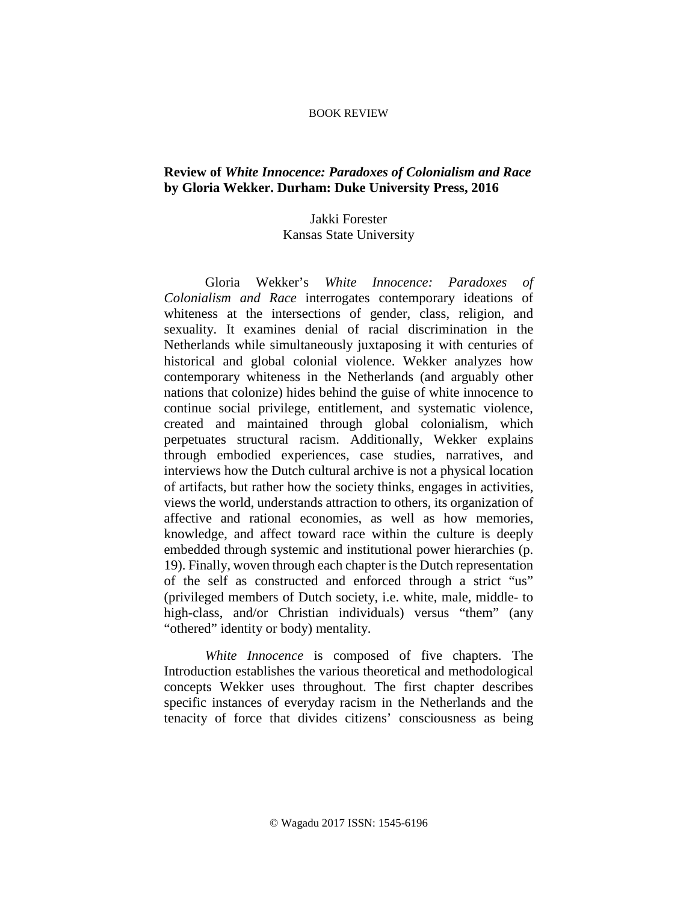## BOOK REVIEW

## **Review of** *White Innocence: Paradoxes of Colonialism and Race* **by Gloria Wekker. Durham: Duke University Press, 2016**

## Jakki Forester Kansas State University

Gloria Wekker's *White Innocence: Paradoxes of Colonialism and Race* interrogates contemporary ideations of whiteness at the intersections of gender, class, religion, and sexuality. It examines denial of racial discrimination in the Netherlands while simultaneously juxtaposing it with centuries of historical and global colonial violence. Wekker analyzes how contemporary whiteness in the Netherlands (and arguably other nations that colonize) hides behind the guise of white innocence to continue social privilege, entitlement, and systematic violence, created and maintained through global colonialism, which perpetuates structural racism. Additionally, Wekker explains through embodied experiences, case studies, narratives, and interviews how the Dutch cultural archive is not a physical location of artifacts, but rather how the society thinks, engages in activities, views the world, understands attraction to others, its organization of affective and rational economies, as well as how memories, knowledge, and affect toward race within the culture is deeply embedded through systemic and institutional power hierarchies (p. 19). Finally, woven through each chapter is the Dutch representation of the self as constructed and enforced through a strict "us" (privileged members of Dutch society, i.e. white, male, middle- to high-class, and/or Christian individuals) versus "them" (any "othered" identity or body) mentality.

*White Innocence* is composed of five chapters. The Introduction establishes the various theoretical and methodological concepts Wekker uses throughout. The first chapter describes specific instances of everyday racism in the Netherlands and the tenacity of force that divides citizens' consciousness as being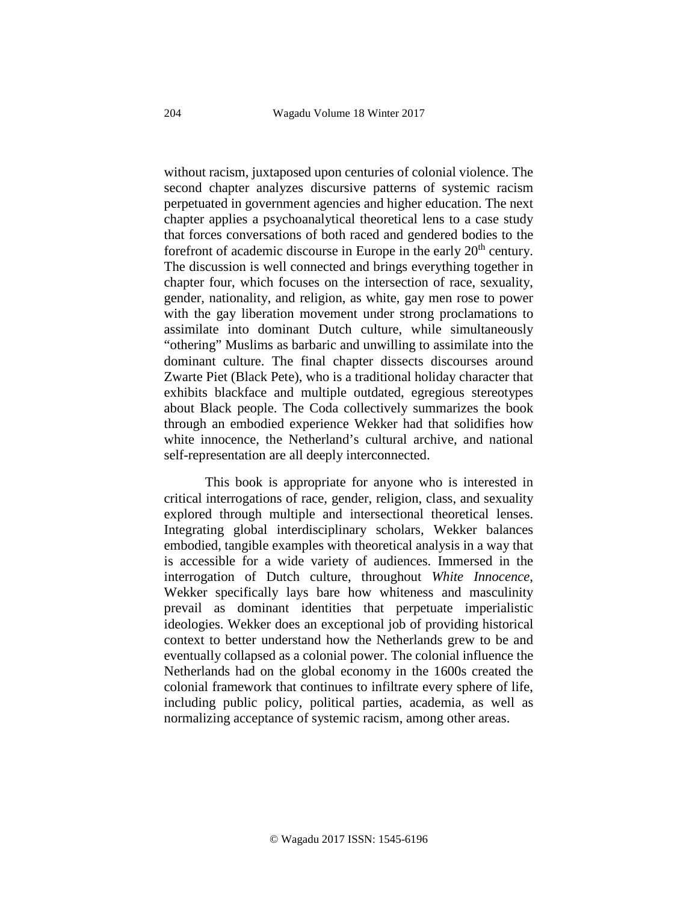without racism, juxtaposed upon centuries of colonial violence. The second chapter analyzes discursive patterns of systemic racism perpetuated in government agencies and higher education. The next chapter applies a psychoanalytical theoretical lens to a case study that forces conversations of both raced and gendered bodies to the forefront of academic discourse in Europe in the early  $20<sup>th</sup>$  century. The discussion is well connected and brings everything together in chapter four, which focuses on the intersection of race, sexuality, gender, nationality, and religion, as white, gay men rose to power with the gay liberation movement under strong proclamations to assimilate into dominant Dutch culture, while simultaneously "othering" Muslims as barbaric and unwilling to assimilate into the dominant culture. The final chapter dissects discourses around Zwarte Piet (Black Pete), who is a traditional holiday character that exhibits blackface and multiple outdated, egregious stereotypes about Black people. The Coda collectively summarizes the book through an embodied experience Wekker had that solidifies how white innocence, the Netherland's cultural archive, and national self-representation are all deeply interconnected.

This book is appropriate for anyone who is interested in critical interrogations of race, gender, religion, class, and sexuality explored through multiple and intersectional theoretical lenses. Integrating global interdisciplinary scholars, Wekker balances embodied, tangible examples with theoretical analysis in a way that is accessible for a wide variety of audiences. Immersed in the interrogation of Dutch culture, throughout *White Innocence,* Wekker specifically lays bare how whiteness and masculinity prevail as dominant identities that perpetuate imperialistic ideologies. Wekker does an exceptional job of providing historical context to better understand how the Netherlands grew to be and eventually collapsed as a colonial power. The colonial influence the Netherlands had on the global economy in the 1600s created the colonial framework that continues to infiltrate every sphere of life, including public policy, political parties, academia, as well as normalizing acceptance of systemic racism, among other areas.